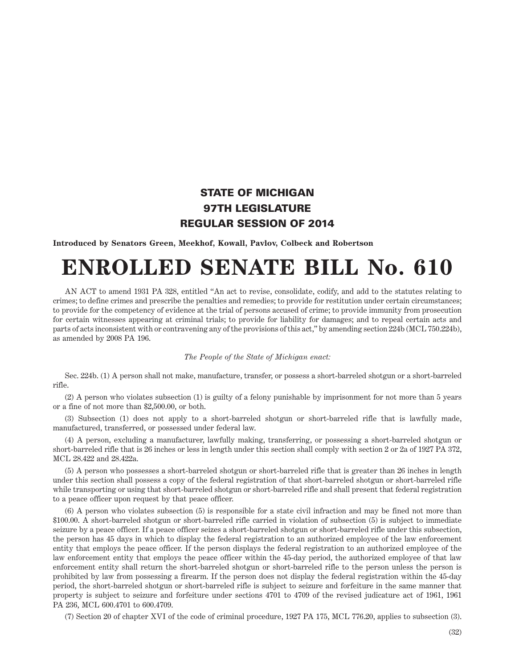## STATE OF MICHIGAN 97TH LEGISLATURE REGULAR SESSION OF 2014

**Introduced by Senators Green, Meekhof, Kowall, Pavlov, Colbeck and Robertson**

## **ENROLLED SENATE BILL No. 610**

AN ACT to amend 1931 PA 328, entitled "An act to revise, consolidate, codify, and add to the statutes relating to crimes; to define crimes and prescribe the penalties and remedies; to provide for restitution under certain circumstances; to provide for the competency of evidence at the trial of persons accused of crime; to provide immunity from prosecution for certain witnesses appearing at criminal trials; to provide for liability for damages; and to repeal certain acts and parts of acts inconsistent with or contravening any of the provisions of this act," by amending section 224b (MCL 750.224b), as amended by 2008 PA 196.

## *The People of the State of Michigan enact:*

Sec. 224b. (1) A person shall not make, manufacture, transfer, or possess a short-barreled shotgun or a short-barreled rifle.

(2) A person who violates subsection (1) is guilty of a felony punishable by imprisonment for not more than 5 years or a fine of not more than \$2,500.00, or both.

(3) Subsection (1) does not apply to a short-barreled shotgun or short-barreled rifle that is lawfully made, manufactured, transferred, or possessed under federal law.

(4) A person, excluding a manufacturer, lawfully making, transferring, or possessing a short-barreled shotgun or short-barreled rifle that is 26 inches or less in length under this section shall comply with section 2 or 2a of 1927 PA 372, MCL 28.422 and 28.422a.

(5) A person who possesses a short-barreled shotgun or short-barreled rifle that is greater than 26 inches in length under this section shall possess a copy of the federal registration of that short-barreled shotgun or short-barreled rifle while transporting or using that short-barreled shotgun or short-barreled rifle and shall present that federal registration to a peace officer upon request by that peace officer.

(6) A person who violates subsection (5) is responsible for a state civil infraction and may be fined not more than \$100.00. A short-barreled shotgun or short-barreled rifle carried in violation of subsection (5) is subject to immediate seizure by a peace officer. If a peace officer seizes a short-barreled shotgun or short-barreled rifle under this subsection, the person has 45 days in which to display the federal registration to an authorized employee of the law enforcement entity that employs the peace officer. If the person displays the federal registration to an authorized employee of the law enforcement entity that employs the peace officer within the 45-day period, the authorized employee of that law enforcement entity shall return the short-barreled shotgun or short-barreled rifle to the person unless the person is prohibited by law from possessing a firearm. If the person does not display the federal registration within the 45-day period, the short-barreled shotgun or short-barreled rifle is subject to seizure and forfeiture in the same manner that property is subject to seizure and forfeiture under sections 4701 to 4709 of the revised judicature act of 1961, 1961 PA 236, MCL 600.4701 to 600.4709.

(7) Section 20 of chapter XVI of the code of criminal procedure, 1927 PA 175, MCL 776.20, applies to subsection (3).